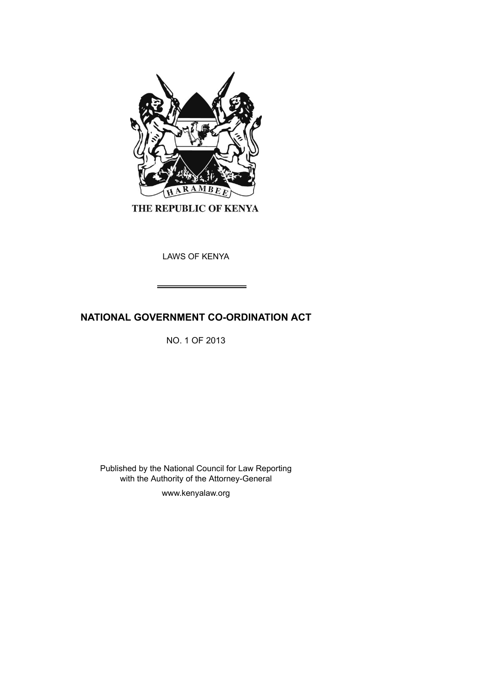

THE REPUBLIC OF KENYA

LAWS OF KENYA

# **NATIONAL GOVERNMENT CO-ORDINATION ACT**

NO. 1 OF 2013

Published by the National Council for Law Reporting with the Authority of the Attorney-General

www.kenyalaw.org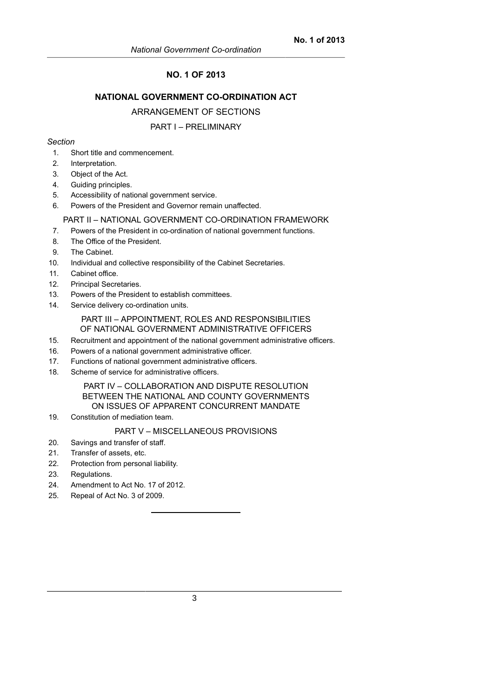# **NO. 1 OF 2013**

# **NATIONAL GOVERNMENT CO-ORDINATION ACT**

## ARRANGEMENT OF SECTIONS

#### PART I – PRELIMINARY

#### *Section*

- 1. Short title and commencement.
- 2. Interpretation.
- 3. Object of the Act.
- 4. Guiding principles.
- 5. Accessibility of national government service.
- 6. Powers of the President and Governor remain unaffected.

### PART II – NATIONAL GOVERNMENT CO-ORDINATION FRAMEWORK

- 7. Powers of the President in co-ordination of national government functions.
- 8. The Office of the President.
- 9. The Cabinet.
- 10. Individual and collective responsibility of the Cabinet Secretaries.
- 11. Cabinet office.
- 12. Principal Secretaries.
- 13. Powers of the President to establish committees.
- 14. Service delivery co-ordination units.

PART III – APPOINTMENT, ROLES AND RESPONSIBILITIES OF NATIONAL GOVERNMENT ADMINISTRATIVE OFFICERS

- 15. Recruitment and appointment of the national government administrative officers.
- 16. Powers of a national government administrative officer.
- 17. Functions of national government administrative officers.
- 18. Scheme of service for administrative officers.

# PART IV – COLLABORATION AND DISPUTE RESOLUTION BETWEEN THE NATIONAL AND COUNTY GOVERNMENTS ON ISSUES OF APPARENT CONCURRENT MANDATE

19. Constitution of mediation team.

## PART V – MISCELLANEOUS PROVISIONS

- 20. Savings and transfer of staff.
- 21. Transfer of assets, etc.
- 22. Protection from personal liability.
- 23. Regulations.
- 24. Amendment to Act No. 17 of 2012.
- 25. Repeal of Act No. 3 of 2009.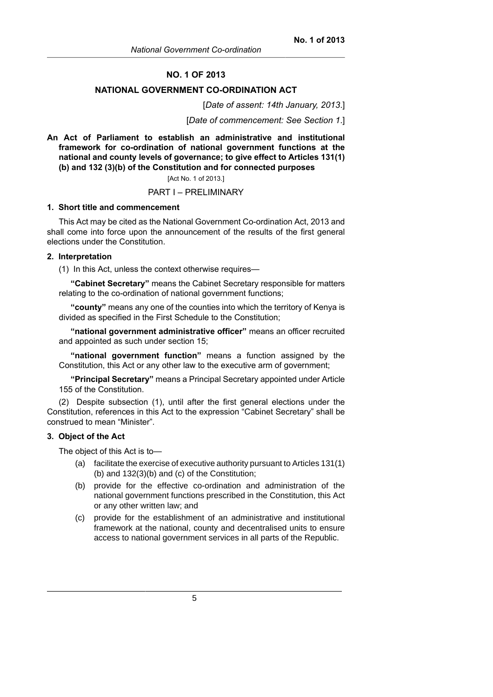# **NO. 1 OF 2013**

## **NATIONAL GOVERNMENT CO-ORDINATION ACT**

#### [*Date of assent: 14th January, 2013*.]

[*Date of commencement: See Section 1*.]

**An Act of Parliament to establish an administrative and institutional framework for co-ordination of national government functions at the national and county levels of governance; to give effect to Articles 131(1) (b) and 132 (3)(b) of the Constitution and for connected purposes**

#### [Act No. 1 of 2013.]

#### PART I – PRELIMINARY

#### **1. Short title and commencement**

This Act may be cited as the National Government Co-ordination Act, 2013 and shall come into force upon the announcement of the results of the first general elections under the Constitution.

#### **2. Interpretation**

(1) In this Act, unless the context otherwise requires—

**"Cabinet Secretary"** means the Cabinet Secretary responsible for matters relating to the co-ordination of national government functions;

**"county"** means any one of the counties into which the territory of Kenya is divided as specified in the First Schedule to the Constitution;

**"national government administrative officer"** means an officer recruited and appointed as such under section 15;

**"national government function"** means a function assigned by the Constitution, this Act or any other law to the executive arm of government;

**"Principal Secretary"** means a Principal Secretary appointed under Article 155 of the Constitution.

(2) Despite subsection (1), until after the first general elections under the Constitution, references in this Act to the expression "Cabinet Secretary" shall be construed to mean "Minister".

#### **3. Object of the Act**

The object of this Act is to—

- (a) facilitate the exercise of executive authority pursuant to Articles 131(1) (b) and 132(3)(b) and (c) of the Constitution;
- (b) provide for the effective co-ordination and administration of the national government functions prescribed in the Constitution, this Act or any other written law; and
- (c) provide for the establishment of an administrative and institutional framework at the national, county and decentralised units to ensure access to national government services in all parts of the Republic.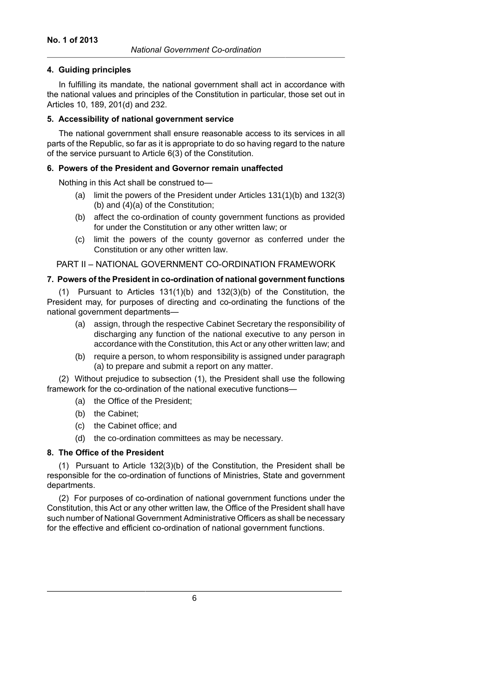## **4. Guiding principles**

In fulfilling its mandate, the national government shall act in accordance with the national values and principles of the Constitution in particular, those set out in Articles 10, 189, 201(d) and 232.

## **5. Accessibility of national government service**

The national government shall ensure reasonable access to its services in all parts of the Republic, so far as it is appropriate to do so having regard to the nature of the service pursuant to Article 6(3) of the Constitution.

# **6. Powers of the President and Governor remain unaffected**

Nothing in this Act shall be construed to—

- (a) limit the powers of the President under Articles 131(1)(b) and 132(3) (b) and (4)(a) of the Constitution;
- (b) affect the co-ordination of county government functions as provided for under the Constitution or any other written law; or
- (c) limit the powers of the county governor as conferred under the Constitution or any other written law.

PART II – NATIONAL GOVERNMENT CO-ORDINATION FRAMEWORK

# **7. Powers of the President in co-ordination of national government functions**

(1) Pursuant to Articles 131(1)(b) and 132(3)(b) of the Constitution, the President may, for purposes of directing and co-ordinating the functions of the national government departments—

- (a) assign, through the respective Cabinet Secretary the responsibility of discharging any function of the national executive to any person in accordance with the Constitution, this Act or any other written law; and
- (b) require a person, to whom responsibility is assigned under paragraph (a) to prepare and submit a report on any matter.

(2) Without prejudice to subsection (1), the President shall use the following framework for the co-ordination of the national executive functions—

- (a) the Office of the President;
- (b) the Cabinet;
- (c) the Cabinet office; and
- (d) the co-ordination committees as may be necessary.

# **8. The Office of the President**

(1) Pursuant to Article 132(3)(b) of the Constitution, the President shall be responsible for the co-ordination of functions of Ministries, State and government departments.

(2) For purposes of co-ordination of national government functions under the Constitution, this Act or any other written law, the Office of the President shall have such number of National Government Administrative Officers as shall be necessary for the effective and efficient co-ordination of national government functions.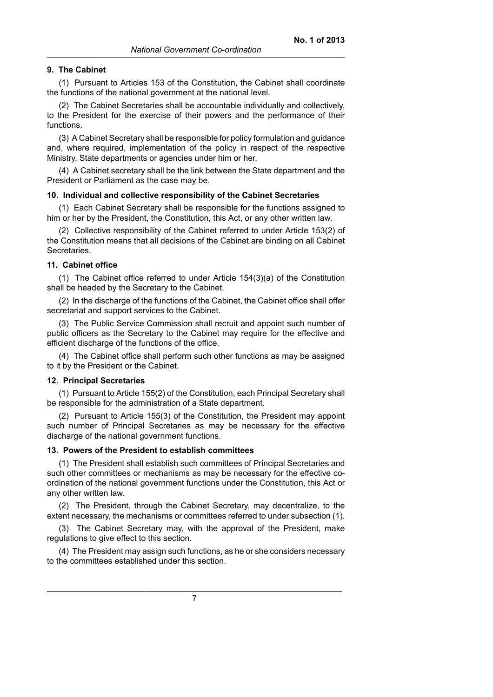### **9. The Cabinet**

(1) Pursuant to Articles 153 of the Constitution, the Cabinet shall coordinate the functions of the national government at the national level.

(2) The Cabinet Secretaries shall be accountable individually and collectively, to the President for the exercise of their powers and the performance of their functions.

(3) A Cabinet Secretary shall be responsible for policy formulation and guidance and, where required, implementation of the policy in respect of the respective Ministry, State departments or agencies under him or her.

(4) A Cabinet secretary shall be the link between the State department and the President or Parliament as the case may be.

### **10. Individual and collective responsibility of the Cabinet Secretaries**

(1) Each Cabinet Secretary shall be responsible for the functions assigned to him or her by the President, the Constitution, this Act, or any other written law.

(2) Collective responsibility of the Cabinet referred to under Article 153(2) of the Constitution means that all decisions of the Cabinet are binding on all Cabinet Secretaries.

#### **11. Cabinet office**

(1) The Cabinet office referred to under Article 154(3)(a) of the Constitution shall be headed by the Secretary to the Cabinet.

(2) In the discharge of the functions of the Cabinet, the Cabinet office shall offer secretariat and support services to the Cabinet.

(3) The Public Service Commission shall recruit and appoint such number of public officers as the Secretary to the Cabinet may require for the effective and efficient discharge of the functions of the office.

(4) The Cabinet office shall perform such other functions as may be assigned to it by the President or the Cabinet.

#### **12. Principal Secretaries**

(1) Pursuant to Article 155(2) of the Constitution, each Principal Secretary shall be responsible for the administration of a State department.

(2) Pursuant to Article 155(3) of the Constitution, the President may appoint such number of Principal Secretaries as may be necessary for the effective discharge of the national government functions.

### **13. Powers of the President to establish committees**

(1) The President shall establish such committees of Principal Secretaries and such other committees or mechanisms as may be necessary for the effective coordination of the national government functions under the Constitution, this Act or any other written law.

(2) The President, through the Cabinet Secretary, may decentralize, to the extent necessary, the mechanisms or committees referred to under subsection (1).

(3) The Cabinet Secretary may, with the approval of the President, make regulations to give effect to this section.

(4) The President may assign such functions, as he or she considers necessary to the committees established under this section.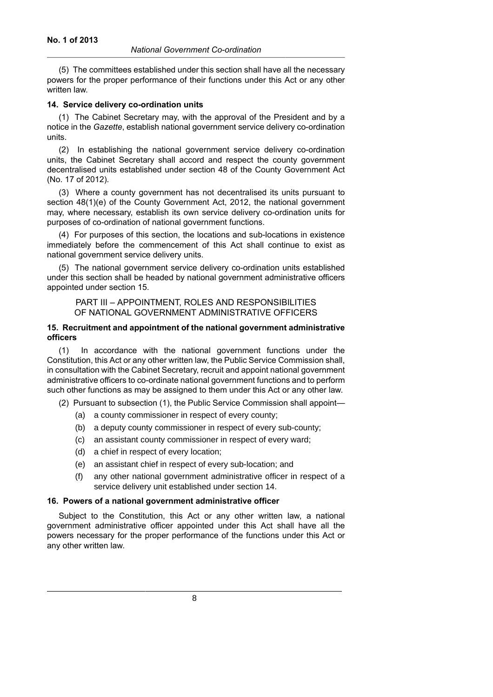(5) The committees established under this section shall have all the necessary powers for the proper performance of their functions under this Act or any other written law.

### **14. Service delivery co-ordination units**

(1) The Cabinet Secretary may, with the approval of the President and by a notice in the *Gazette*, establish national government service delivery co-ordination units.

(2) In establishing the national government service delivery co-ordination units, the Cabinet Secretary shall accord and respect the county government decentralised units established under section 48 of the County Government Act (No. 17 of 2012).

(3) Where a county government has not decentralised its units pursuant to section 48(1)(e) of the County Government Act, 2012, the national government may, where necessary, establish its own service delivery co-ordination units for purposes of co-ordination of national government functions.

(4) For purposes of this section, the locations and sub-locations in existence immediately before the commencement of this Act shall continue to exist as national government service delivery units.

(5) The national government service delivery co-ordination units established under this section shall be headed by national government administrative officers appointed under section 15.

# PART III – APPOINTMENT, ROLES AND RESPONSIBILITIES OF NATIONAL GOVERNMENT ADMINISTRATIVE OFFICERS

# **15. Recruitment and appointment of the national government administrative officers**

(1) In accordance with the national government functions under the Constitution, this Act or any other written law, the Public Service Commission shall, in consultation with the Cabinet Secretary, recruit and appoint national government administrative officers to co-ordinate national government functions and to perform such other functions as may be assigned to them under this Act or any other law.

(2) Pursuant to subsection (1), the Public Service Commission shall appoint—

- (a) a county commissioner in respect of every county;
- (b) a deputy county commissioner in respect of every sub-county;
- (c) an assistant county commissioner in respect of every ward;
- (d) a chief in respect of every location;
- (e) an assistant chief in respect of every sub-location; and
- (f) any other national government administrative officer in respect of a service delivery unit established under section 14.

#### **16. Powers of a national government administrative officer**

Subject to the Constitution, this Act or any other written law, a national government administrative officer appointed under this Act shall have all the powers necessary for the proper performance of the functions under this Act or any other written law.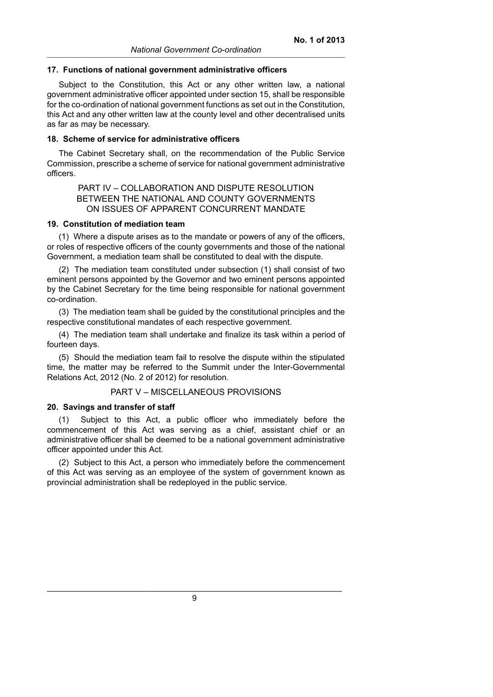#### **17. Functions of national government administrative officers**

Subject to the Constitution, this Act or any other written law, a national government administrative officer appointed under section 15, shall be responsible for the co-ordination of national government functions as set out in the Constitution, this Act and any other written law at the county level and other decentralised units as far as may be necessary.

#### **18. Scheme of service for administrative officers**

The Cabinet Secretary shall, on the recommendation of the Public Service Commission, prescribe a scheme of service for national government administrative officers.

PART IV – COLLABORATION AND DISPUTE RESOLUTION BETWEEN THE NATIONAL AND COUNTY GOVERNMENTS ON ISSUES OF APPARENT CONCURRENT MANDATE

#### **19. Constitution of mediation team**

(1) Where a dispute arises as to the mandate or powers of any of the officers, or roles of respective officers of the county governments and those of the national Government, a mediation team shall be constituted to deal with the dispute.

(2) The mediation team constituted under subsection (1) shall consist of two eminent persons appointed by the Governor and two eminent persons appointed by the Cabinet Secretary for the time being responsible for national government co-ordination.

(3) The mediation team shall be guided by the constitutional principles and the respective constitutional mandates of each respective government.

(4) The mediation team shall undertake and finalize its task within a period of fourteen days.

(5) Should the mediation team fail to resolve the dispute within the stipulated time, the matter may be referred to the Summit under the Inter-Governmental Relations Act, 2012 (No. 2 of 2012) for resolution.

#### PART V – MISCELLANEOUS PROVISIONS

#### **20. Savings and transfer of staff**

Subject to this Act, a public officer who immediately before the commencement of this Act was serving as a chief, assistant chief or an administrative officer shall be deemed to be a national government administrative officer appointed under this Act.

(2) Subject to this Act, a person who immediately before the commencement of this Act was serving as an employee of the system of government known as provincial administration shall be redeployed in the public service.